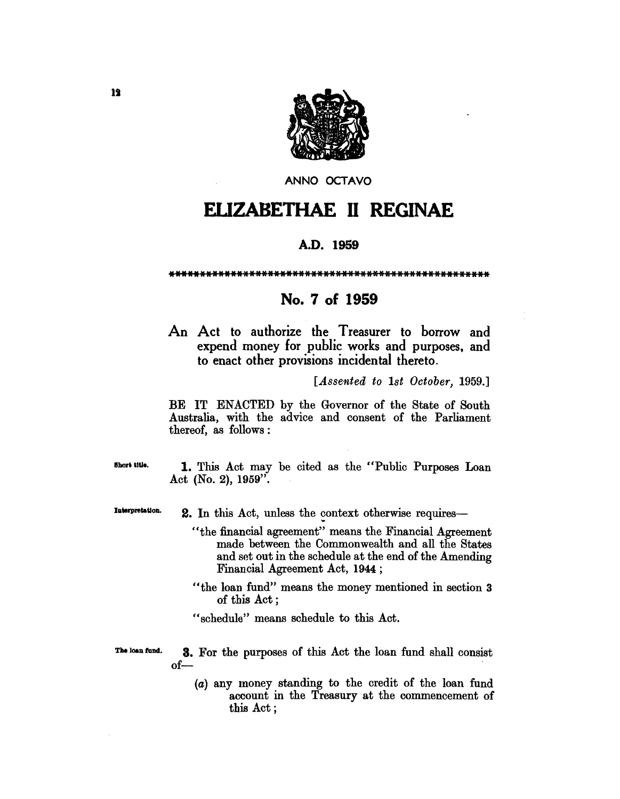

ANNO OCTAVO

# **ELIZABETHAE II REGINAE**

### A.D. 1959

## No. 7 of 1959

An Act to authorize the Treasurer to borrow and expend money for public works and purposes, and to enact other provisions incidental thereto.

[Assented to 1st October, 1959.]

BE IT ENACTED by the Governor of the State of South Australia, with the advice and consent of the Parliament thereof, as follows:

1. This Act may be cited as the "Public Purposes Loan Act (No. 2),  $1959$ ".

Interpretation. 2. In this Act, unless the context otherwise requires-

- "the financial agreement" means the Financial Agreement made between the Commonwealth and all the States and set out in the schedule at the end of the Amending Financial Agreement Act, 1944;
- "the loan fund" means the money mentioned in section 3 of this Act:
- "schedule" means schedule to this Act.

The loan fund. **3.** For the purposes of this Act the loan fund shall consist  $of-$ 

> (a) any money standing to the credit of the loan fund account in the Treasury at the commencement of this Act;

Short title.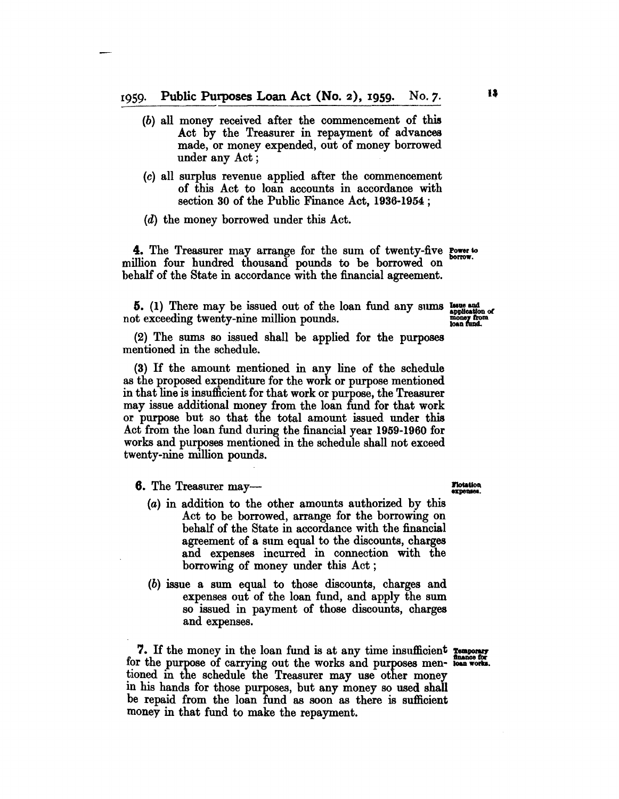- (b) all money received after the commencement of this Act by the Treasurer in repayment of advances made, or money expended, out of money borrowed under any Act;
- (c) all surplus revenue applied after the commencement of this Act to loan accounts in accordance with section 30 of the Public Finance Act, 1936-1954 ;
- (d) the money borrowed under this Act.

4. The Treasurer may arrange for the sum of twenty-five Power to million four hundred thousand pounds to be borrowed on behalf of the State in accordance with the financial agreement.

5. (1) There may be issued out of the loan fund any sums  $_{\text{sublization of}}^{Irm.}$ not exceeding twenty-nine million pounds. The money from the money from  $\frac{m}{\text{loop from}}$ 

(2) The sums so issued shall be applied for the purposes mentioned in the schedule.

(3) If the amount mentioned in any line of the schedule as the proposed expenditure for the work or purpose mentioned in that line is insufficient for that work or purpose, the Treasurer may issue additional money from the loan fund for that work or purpose but so that the total amount issued under this Act from the loan fund during the financial year 1959-1960 for works and purposes mentioned in the schedule shall not exceed twenty-nine million pounds.

 $6.$  The Treasurer may- $\overline{\phantom{a}}$ 

- (a) in addition to the other amounts authorized by this Act to be borrowed, arrange for the borrowing on behalf of the State in accordance with the financial agreement of a sum equal to the discounts, charges and expenses incurred in connection with the borrowing of money under this Act;
- (b) issue a sum equal to those discounts, charges and expenses out of the loan fund, and apply the sum so issued in payment of those discounts, charges and expenses.

7. If the money in the loan fund is at any time insufficient remporary for the purpose of carrying out the works and purposes men- real works. tioned in the schedule the Treasurer may use other money in his hands for those purposes, but any money so used shall be repaid from the loan fund as soon as there is sufficient money in that fund to make the repayment.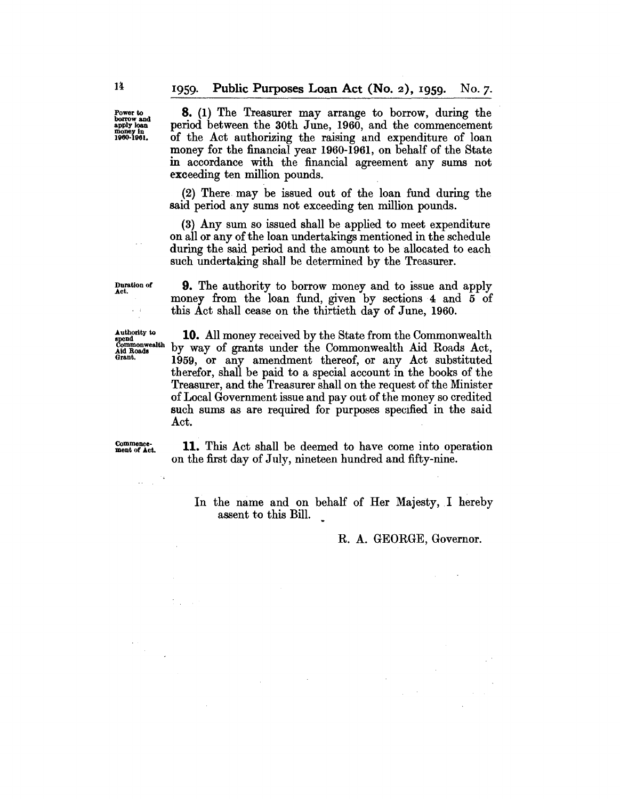Power to borrow and apply loan money In 1960·1961.

8. (1) The Treasurer may arrange to borrow, during the period between the 30th June, 1960, and the commencement of the Act authorizing the raising and expenditure of loan money for the financial year 1960-1961, on behalf of the State in accordance with the financial agreement any sums not exceeding ten million pounds.

(2) There may be issued out of the loan fund during the said period any sums not exceeding ten million pounds.

(3) Any sum so issued shall be applied to meet expenditure on all or any of the loan undertakings mentioned in the schedule during the said period and the amount to be allocated to each such undertaking shal1 be determined by the Treasurer.

Duration of Act.

 $\epsilon=4$ 

9. The authority to borrow money and to issue and apply money from the loan fund, given by sections 4 and 5 of this Act shall cease on the thirtieth day of June, 1960.

Authority to spend<br>Commonwealth<br>Aid Roads<br>Grant.

10. All money received by the State from the Commonwealth by way of grants under the Commonwealth Aid Roads Act, 1959, or any amendment thereof, or any Act substituted therefor, shall be paid to a special account in the books of the Treasurer, and the Treasurer shall on the request of the Minister of Local Government issue and payout of the money so credited such sums as are required for purposes specified in the said Act.

Commence. ment of Act.

 $\mathcal{L}_{\mathcal{A}}$  ,  $\mathcal{L}_{\mathcal{A}}$ 

11. This Act shall be deemed to have come into operation on the first day of July, nineteen hundred and fifty-nine.

In the name and on behalf of Her Majesty, I hereby assent to this Bill.

 $\sim$ 

#### R. A. GEORGE, Governor.

 $\mathbb{R}^{d}$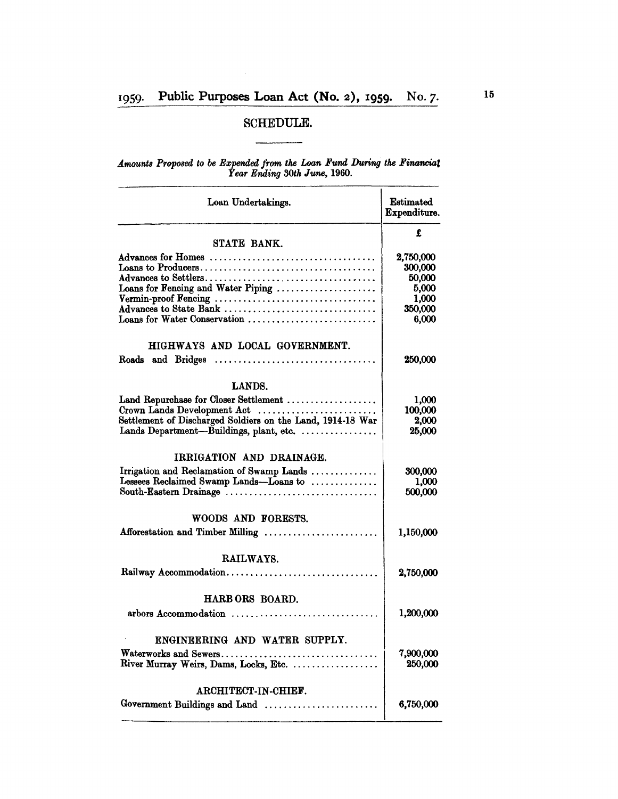J.

## SCHEDULE.

#### *Amounts Proposed to be Expended from the Loan Fund* During *the Financial Year Ending 30th June, 1960.*

| Loan Undertakings.                                         | Estimated<br>Expenditure. |
|------------------------------------------------------------|---------------------------|
| STATE BANK.                                                | £                         |
| Advances for Homes                                         | 2,750,000                 |
|                                                            | 300,000                   |
|                                                            | 50,000                    |
| Loans for Fencing and Water Piping                         | 5,000                     |
|                                                            | 1.000                     |
| Advances to State Bank                                     | 350,000                   |
| Loans for Water Conservation                               | 6,000                     |
| HIGHWAYS AND LOCAL GOVERNMENT.                             |                           |
| Roads and Bridges                                          | 250,000                   |
| <b>LANDS.</b>                                              |                           |
| Land Repurchase for Closer Settlement                      | 1,000                     |
| Crown Lands Development Act                                | <b>100,000</b>            |
| Settlement of Discharged Soldiers on the Land, 1914-18 War | <b>2.000</b>              |
| Lands Department-Buildings, plant, etc.                    | 25,000                    |
| IRRIGATION AND DRAINAGE.                                   |                           |
| Irrigation and Reclamation of Swamp Lands                  | 300,000                   |
| Lessees Reclaimed Swamp Lands-Loans to                     | 1,000                     |
| South-Eastern Drainage                                     | 500,000                   |
| WOODS AND FORESTS.                                         |                           |
| Afforestation and Timber Milling                           | 1,150,000                 |
| <b>RAILWAYS.</b>                                           |                           |
| Railway Accommodation                                      | 2,750,000                 |
|                                                            |                           |
| HARB ORS BOARD.                                            |                           |
| arbors Accommodation                                       | 1,200,000                 |
| ENGINEERING AND WATER SUPPLY.                              |                           |
| Waterworks and Sewers                                      | 7,900,000                 |
| River Murray Weirs, Dams, Locks, Etc.                      | 250,000                   |
| ARCHITECT-IN-CHIEF.                                        |                           |
| Government Buildings and Land                              | 6,750,000                 |
|                                                            |                           |